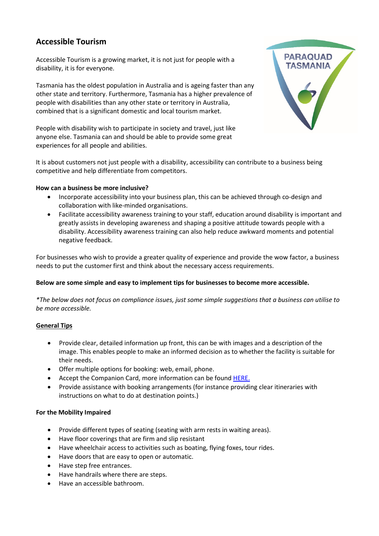# **Accessible Tourism**

Accessible Tourism is a growing market, it is not just for people with a disability, it is for everyone.

Tasmania has the oldest population in Australia and is ageing faster than any other state and territory. Furthermore, Tasmania has a higher prevalence of people with disabilities than any other state or territory in Australia, combined that is a significant domestic and local tourism market.

People with disability wish to participate in society and travel, just like anyone else. Tasmania can and should be able to provide some great experiences for all people and abilities.



It is about customers not just people with a disability, accessibility can contribute to a business being competitive and help differentiate from competitors.

## **How can a business be more inclusive?**

- Incorporate accessibility into your business plan, this can be achieved through co-design and collaboration with like-minded organisations.
- Facilitate accessibility awareness training to your staff, education around disability is important and greatly assists in developing awareness and shaping a positive attitude towards people with a disability. Accessibility awareness training can also help reduce awkward moments and potential negative feedback.

For businesses who wish to provide a greater quality of experience and provide the wow factor, a business needs to put the customer first and think about the necessary access requirements.

# **Below are some simple and easy to implement tips for businesses to become more accessible.**

\*The below does not focus on compliance issues, just some simple suggestions that a business can utilise to *be more accessible.*

# **General Tips**

- Provide clear, detailed information up front, this can be with images and a description of the image. This enables people to make an informed decision as to whether the facility is suitable for their needs.
- Offer multiple options for booking: web, email, phone.
- Accept the Companion Card, more information can be found **[HERE.](https://www.companioncard.communities.tas.gov.au/)**
- Provide assistance with booking arrangements (for instance providing clear itineraries with instructions on what to do at destination points.)

#### **For the Mobility Impaired**

- Provide different types of seating (seating with arm rests in waiting areas).
- Have floor coverings that are firm and slip resistant
- Have wheelchair access to activities such as boating, flying foxes, tour rides.
- Have doors that are easy to open or automatic.
- Have step free entrances.
- Have handrails where there are steps.
- Have an accessible bathroom.